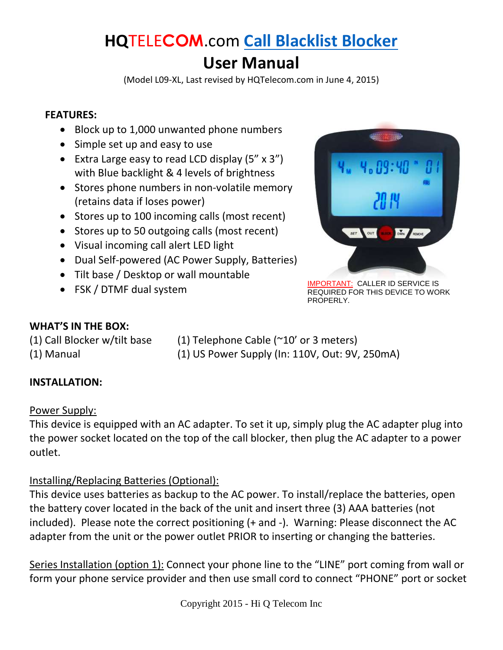# **HQ**TELE**COM**.com **[Call Blacklist Blocker](http://hqtelecom.com/callblacklist)**

## **User Manual**

(Model L09-XL, Last revised by HQTelecom.com in June 4, 2015)

#### **FEATURES:**

- Block up to 1,000 unwanted phone numbers
- Simple set up and easy to use
- Extra Large easy to read LCD display  $(5'' \times 3'')$ with Blue backlight & 4 levels of brightness
- Stores phone numbers in non-volatile memory (retains data if loses power)
- Stores up to 100 incoming calls (most recent)
- Stores up to 50 outgoing calls (most recent)
- Visual incoming call alert LED light
- Dual Self-powered (AC Power Supply, Batteries)
- Tilt base / Desktop or wall mountable
- 



**FSK** / DTMF dual system IMPORTANT: CALLER ID SERVICE IS REQUIRED FOR THIS DEVICE TO WORK PROPERLY.

#### **WHAT'S IN THE BOX:**

(1) Call Blocker w/tilt base  $(1)$  Telephone Cable ( $\sim$ 10' or 3 meters) (1) Manual (1) US Power Supply (In: 110V, Out: 9V, 250mA)

#### **INSTALLATION:**

#### Power Supply:

This device is equipped with an AC adapter. To set it up, simply plug the AC adapter plug into the power socket located on the top of the call blocker, then plug the AC adapter to a power outlet.

#### Installing/Replacing Batteries (Optional):

This device uses batteries as backup to the AC power. To install/replace the batteries, open the battery cover located in the back of the unit and insert three (3) AAA batteries (not included). Please note the correct positioning (+ and -). Warning: Please disconnect the AC adapter from the unit or the power outlet PRIOR to inserting or changing the batteries.

Series Installation (option 1): Connect your phone line to the "LINE" port coming from wall or form your phone service provider and then use small cord to connect "PHONE" port or socket

Copyright 2015 - Hi Q Telecom Inc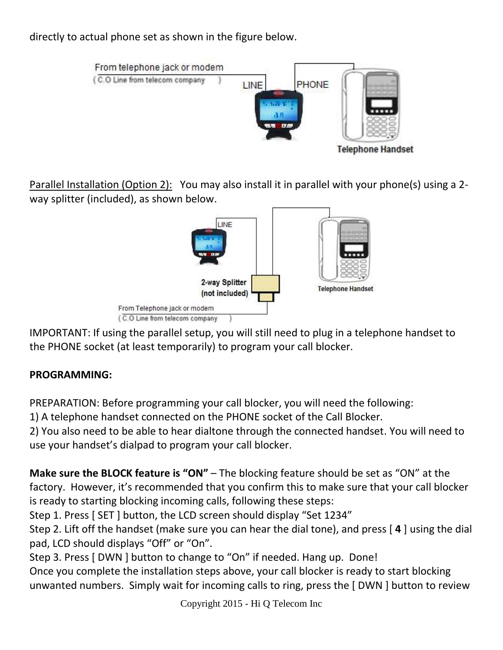directly to actual phone set as shown in the figure below.



Parallel Installation (Option 2): You may also install it in parallel with your phone(s) using a 2 way splitter (included), as shown below.



IMPORTANT: If using the parallel setup, you will still need to plug in a telephone handset to the PHONE socket (at least temporarily) to program your call blocker.

## **PROGRAMMING:**

PREPARATION: Before programming your call blocker, you will need the following:

1) A telephone handset connected on the PHONE socket of the Call Blocker.

2) You also need to be able to hear dialtone through the connected handset. You will need to use your handset's dialpad to program your call blocker.

**Make sure the BLOCK feature is "ON"** – The blocking feature should be set as "ON" at the factory. However, it's recommended that you confirm this to make sure that your call blocker is ready to starting blocking incoming calls, following these steps:

Step 1. Press [ SET ] button, the LCD screen should display "Set 1234"

Step 2. Lift off the handset (make sure you can hear the dial tone), and press [ **4** ] using the dial pad, LCD should displays "Off" or "On".

Step 3. Press [ DWN ] button to change to "On" if needed. Hang up. Done!

Once you complete the installation steps above, your call blocker is ready to start blocking unwanted numbers. Simply wait for incoming calls to ring, press the [ DWN ] button to review

Copyright 2015 - Hi Q Telecom Inc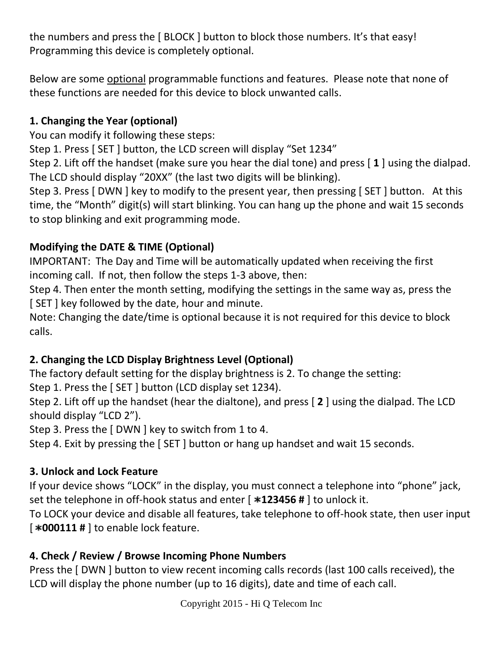the numbers and press the [ BLOCK ] button to block those numbers. It's that easy! Programming this device is completely optional.

Below are some optional programmable functions and features. Please note that none of these functions are needed for this device to block unwanted calls.

#### **1. Changing the Year (optional)**

You can modify it following these steps:

Step 1. Press [ SET ] button, the LCD screen will display "Set 1234"

Step 2. Lift off the handset (make sure you hear the dial tone) and press [ **1** ] using the dialpad. The LCD should display "20XX" (the last two digits will be blinking).

Step 3. Press [ DWN ] key to modify to the present year, then pressing [ SET ] button. At this time, the "Month" digit(s) will start blinking. You can hang up the phone and wait 15 seconds to stop blinking and exit programming mode.

#### **Modifying the DATE & TIME (Optional)**

IMPORTANT: The Day and Time will be automatically updated when receiving the first incoming call. If not, then follow the steps 1-3 above, then:

Step 4. Then enter the month setting, modifying the settings in the same way as, press the [ SET ] key followed by the date, hour and minute.

Note: Changing the date/time is optional because it is not required for this device to block calls.

#### **2. Changing the LCD Display Brightness Level (Optional)**

The factory default setting for the display brightness is 2. To change the setting: Step 1. Press the [ SET ] button (LCD display set 1234).

Step 2. Lift off up the handset (hear the dialtone), and press [ **2** ] using the dialpad. The LCD should display "LCD 2").

Step 3. Press the [ DWN ] key to switch from 1 to 4.

Step 4. Exit by pressing the [ SET ] button or hang up handset and wait 15 seconds.

#### **3. Unlock and Lock Feature**

If your device shows "LOCK" in the display, you must connect a telephone into "phone" jack, set the telephone in off-hook status and enter [  $*123456$  # ] to unlock it.

To LOCK your device and disable all features, take telephone to off-hook state, then user input **F000111 #** ] to enable lock feature.

#### **4. Check / Review / Browse Incoming Phone Numbers**

Press the [ DWN ] button to view recent incoming calls records (last 100 calls received), the LCD will display the phone number (up to 16 digits), date and time of each call.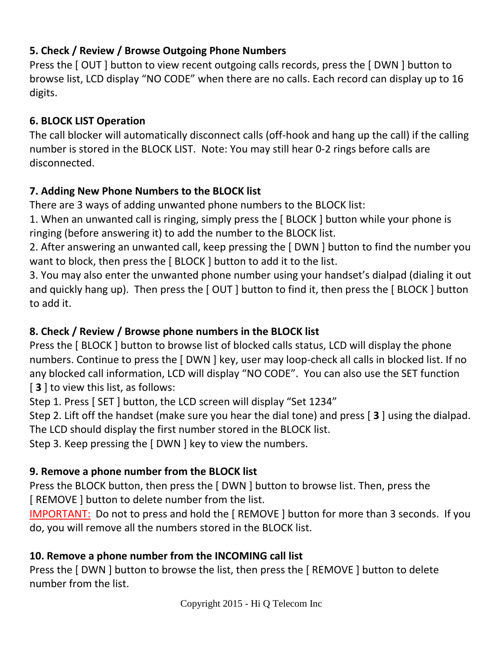## **5. Check / Review / Browse Outgoing Phone Numbers**

Press the [OUT] button to view recent outgoing calls records, press the [DWN] button to browse list, LCD display "NO CODE" when there are no calls. Each record can display up to 16 digits.

## **6. BLOCK LIST Operation**

The call blocker will automatically disconnect calls (off-hook and hang up the call) if the calling number is stored in the BLOCK LIST. Note: You may still hear 0-2 rings before calls are disconnected.

## **7. Adding New Phone Numbers to the BLOCK list**

There are 3 ways of adding unwanted phone numbers to the BLOCK list:

1. When an unwanted call is ringing, simply press the [ BLOCK ] button while your phone is ringing (before answering it) to add the number to the BLOCK list.

2. After answering an unwanted call, keep pressing the [ DWN ] button to find the number you want to block, then press the [ BLOCK ] button to add it to the list.

3. You may also enter the unwanted phone number using your handset's dialpad (dialing it out and quickly hang up). Then press the [OUT] button to find it, then press the [BLOCK] button to add it.

## **8. Check / Review / Browse phone numbers in the BLOCK list**

Press the [ BLOCK ] button to browse list of blocked calls status, LCD will display the phone numbers. Continue to press the [ DWN ] key, user may loop-check all calls in blocked list. If no any blocked call information, LCD will display "NO CODE". You can also use the SET function [ **3** ] to view this list, as follows:

Step 1. Press [ SET ] button, the LCD screen will display "Set 1234"

Step 2. Lift off the handset (make sure you hear the dial tone) and press [ **3** ] using the dialpad. The LCD should display the first number stored in the BLOCK list.

Step 3. Keep pressing the [ DWN ] key to view the numbers.

## **9. Remove a phone number from the BLOCK list**

Press the BLOCK button, then press the [ DWN ] button to browse list. Then, press the [ REMOVE ] button to delete number from the list.

IMPORTANT: Do not to press and hold the [ REMOVE ] button for more than 3 seconds. If you do, you will remove all the numbers stored in the BLOCK list.

## **10. Remove a phone number from the INCOMING call list**

Press the [ DWN ] button to browse the list, then press the [ REMOVE ] button to delete number from the list.